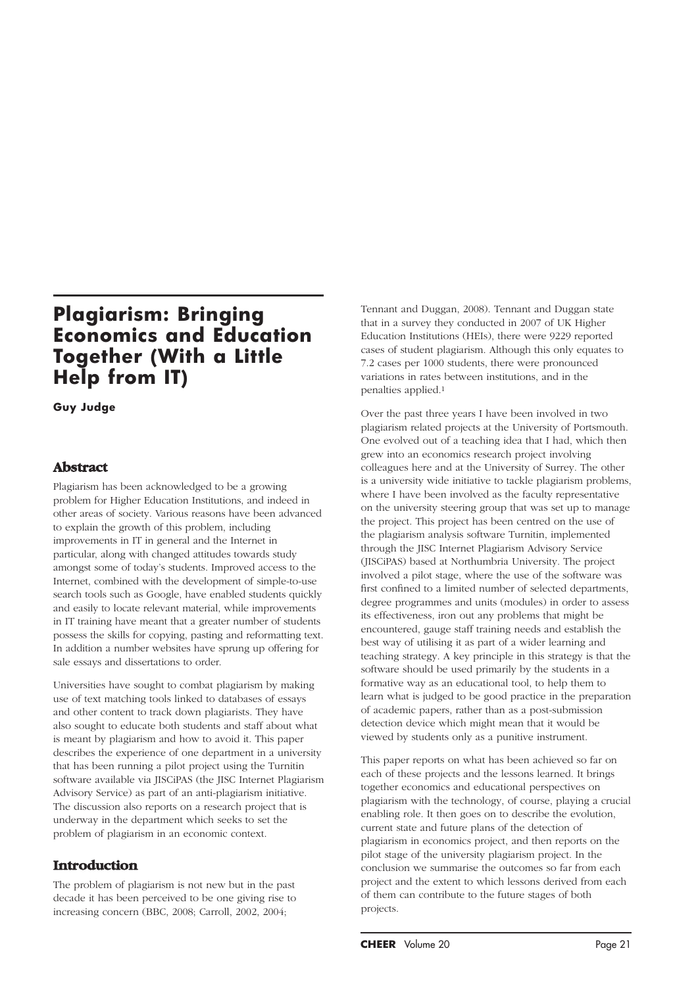# **Plagiarism: Bringing Economics and Education Together (With a Little Help from IT)**

### **Guy Judge**

# **Abstract**

Plagiarism has been acknowledged to be a growing problem for Higher Education Institutions, and indeed in other areas of society. Various reasons have been advanced to explain the growth of this problem, including improvements in IT in general and the Internet in particular, along with changed attitudes towards study amongst some of today's students. Improved access to the Internet, combined with the development of simple-to-use search tools such as Google, have enabled students quickly and easily to locate relevant material, while improvements in IT training have meant that a greater number of students possess the skills for copying, pasting and reformatting text. In addition a number websites have sprung up offering for sale essays and dissertations to order.

Universities have sought to combat plagiarism by making use of text matching tools linked to databases of essays and other content to track down plagiarists. They have also sought to educate both students and staff about what is meant by plagiarism and how to avoid it. This paper describes the experience of one department in a university that has been running a pilot project using the Turnitin software available via JISCiPAS (the JISC Internet Plagiarism Advisory Service) as part of an anti-plagiarism initiative. The discussion also reports on a research project that is underway in the department which seeks to set the problem of plagiarism in an economic context.

# **Introduction**

The problem of plagiarism is not new but in the past decade it has been perceived to be one giving rise to increasing concern (BBC, 2008; Carroll, 2002, 2004;

Tennant and Duggan, 2008). Tennant and Duggan state that in a survey they conducted in 2007 of UK Higher Education Institutions (HEIs), there were 9229 reported cases of student plagiarism. Although this only equates to 7.2 cases per 1000 students, there were pronounced variations in rates between institutions, and in the penalties applied.1

Over the past three years I have been involved in two plagiarism related projects at the University of Portsmouth. One evolved out of a teaching idea that I had, which then grew into an economics research project involving colleagues here and at the University of Surrey. The other is a university wide initiative to tackle plagiarism problems, where I have been involved as the faculty representative on the university steering group that was set up to manage the project. This project has been centred on the use of the plagiarism analysis software Turnitin, implemented through the JISC Internet Plagiarism Advisory Service (JISCiPAS) based at Northumbria University. The project involved a pilot stage, where the use of the software was first confined to a limited number of selected departments, degree programmes and units (modules) in order to assess its effectiveness, iron out any problems that might be encountered, gauge staff training needs and establish the best way of utilising it as part of a wider learning and teaching strategy. A key principle in this strategy is that the software should be used primarily by the students in a formative way as an educational tool, to help them to learn what is judged to be good practice in the preparation of academic papers, rather than as a post-submission detection device which might mean that it would be viewed by students only as a punitive instrument.

This paper reports on what has been achieved so far on each of these projects and the lessons learned. It brings together economics and educational perspectives on plagiarism with the technology, of course, playing a crucial enabling role. It then goes on to describe the evolution, current state and future plans of the detection of plagiarism in economics project, and then reports on the pilot stage of the university plagiarism project. In the conclusion we summarise the outcomes so far from each project and the extent to which lessons derived from each of them can contribute to the future stages of both projects.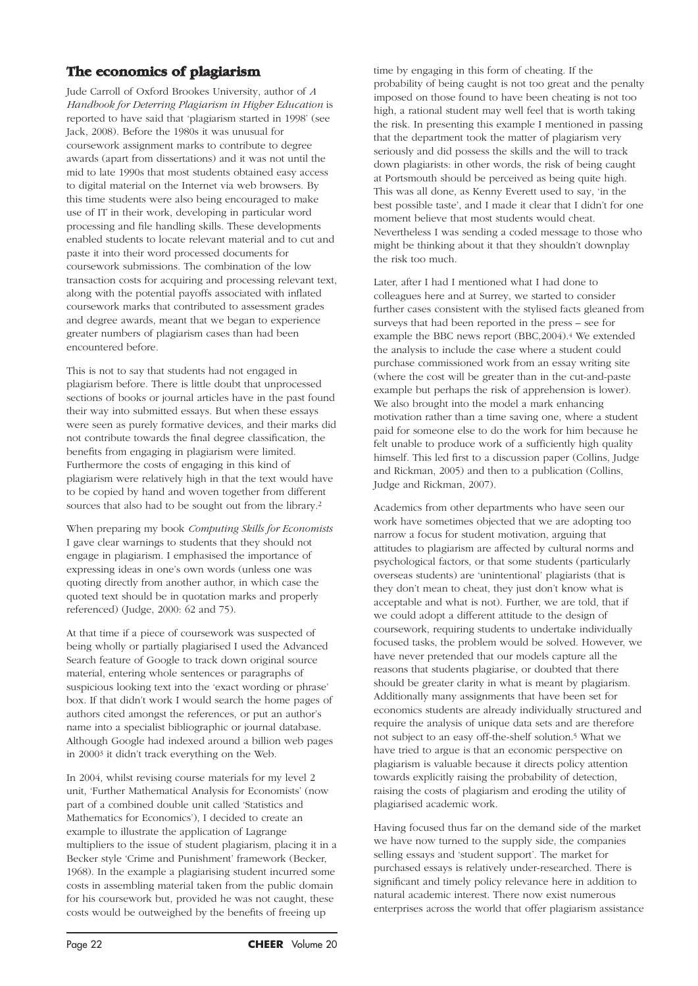# **The economics of plagiarism**

Jude Carroll of Oxford Brookes University, author of *A Handbook for Deterring Plagiarism in Higher Education* is reported to have said that 'plagiarism started in 1998' (see Jack, 2008). Before the 1980s it was unusual for coursework assignment marks to contribute to degree awards (apart from dissertations) and it was not until the mid to late 1990s that most students obtained easy access to digital material on the Internet via web browsers. By this time students were also being encouraged to make use of IT in their work, developing in particular word processing and file handling skills. These developments enabled students to locate relevant material and to cut and paste it into their word processed documents for coursework submissions. The combination of the low transaction costs for acquiring and processing relevant text, along with the potential payoffs associated with inflated coursework marks that contributed to assessment grades and degree awards, meant that we began to experience greater numbers of plagiarism cases than had been encountered before.

This is not to say that students had not engaged in plagiarism before. There is little doubt that unprocessed sections of books or journal articles have in the past found their way into submitted essays. But when these essays were seen as purely formative devices, and their marks did not contribute towards the final degree classification, the benefits from engaging in plagiarism were limited. Furthermore the costs of engaging in this kind of plagiarism were relatively high in that the text would have to be copied by hand and woven together from different sources that also had to be sought out from the library.2

When preparing my book *Computing Skills for Economists* I gave clear warnings to students that they should not engage in plagiarism. I emphasised the importance of expressing ideas in one's own words (unless one was quoting directly from another author, in which case the quoted text should be in quotation marks and properly referenced) (Judge, 2000: 62 and 75).

At that time if a piece of coursework was suspected of being wholly or partially plagiarised I used the Advanced Search feature of Google to track down original source material, entering whole sentences or paragraphs of suspicious looking text into the 'exact wording or phrase' box. If that didn't work I would search the home pages of authors cited amongst the references, or put an author's name into a specialist bibliographic or journal database. Although Google had indexed around a billion web pages in 20003 it didn't track everything on the Web.

In 2004, whilst revising course materials for my level 2 unit, 'Further Mathematical Analysis for Economists' (now part of a combined double unit called 'Statistics and Mathematics for Economics'), I decided to create an example to illustrate the application of Lagrange multipliers to the issue of student plagiarism, placing it in a Becker style 'Crime and Punishment' framework (Becker, 1968). In the example a plagiarising student incurred some costs in assembling material taken from the public domain for his coursework but, provided he was not caught, these costs would be outweighed by the benefits of freeing up

time by engaging in this form of cheating. If the probability of being caught is not too great and the penalty imposed on those found to have been cheating is not too high, a rational student may well feel that is worth taking the risk. In presenting this example I mentioned in passing that the department took the matter of plagiarism very seriously and did possess the skills and the will to track down plagiarists: in other words, the risk of being caught at Portsmouth should be perceived as being quite high. This was all done, as Kenny Everett used to say, 'in the best possible taste', and I made it clear that I didn't for one moment believe that most students would cheat. Nevertheless I was sending a coded message to those who might be thinking about it that they shouldn't downplay the risk too much.

Later, after I had I mentioned what I had done to colleagues here and at Surrey, we started to consider further cases consistent with the stylised facts gleaned from surveys that had been reported in the press – see for example the BBC news report (BBC,2004).4 We extended the analysis to include the case where a student could purchase commissioned work from an essay writing site (where the cost will be greater than in the cut-and-paste example but perhaps the risk of apprehension is lower). We also brought into the model a mark enhancing motivation rather than a time saving one, where a student paid for someone else to do the work for him because he felt unable to produce work of a sufficiently high quality himself. This led first to a discussion paper (Collins, Judge and Rickman, 2005) and then to a publication (Collins, Judge and Rickman, 2007).

Academics from other departments who have seen our work have sometimes objected that we are adopting too narrow a focus for student motivation, arguing that attitudes to plagiarism are affected by cultural norms and psychological factors, or that some students (particularly overseas students) are 'unintentional' plagiarists (that is they don't mean to cheat, they just don't know what is acceptable and what is not). Further, we are told, that if we could adopt a different attitude to the design of coursework, requiring students to undertake individually focused tasks, the problem would be solved. However, we have never pretended that our models capture all the reasons that students plagiarise, or doubted that there should be greater clarity in what is meant by plagiarism. Additionally many assignments that have been set for economics students are already individually structured and require the analysis of unique data sets and are therefore not subject to an easy off-the-shelf solution.5 What we have tried to argue is that an economic perspective on plagiarism is valuable because it directs policy attention towards explicitly raising the probability of detection, raising the costs of plagiarism and eroding the utility of plagiarised academic work.

Having focused thus far on the demand side of the market we have now turned to the supply side, the companies selling essays and 'student support'. The market for purchased essays is relatively under-researched. There is significant and timely policy relevance here in addition to natural academic interest. There now exist numerous enterprises across the world that offer plagiarism assistance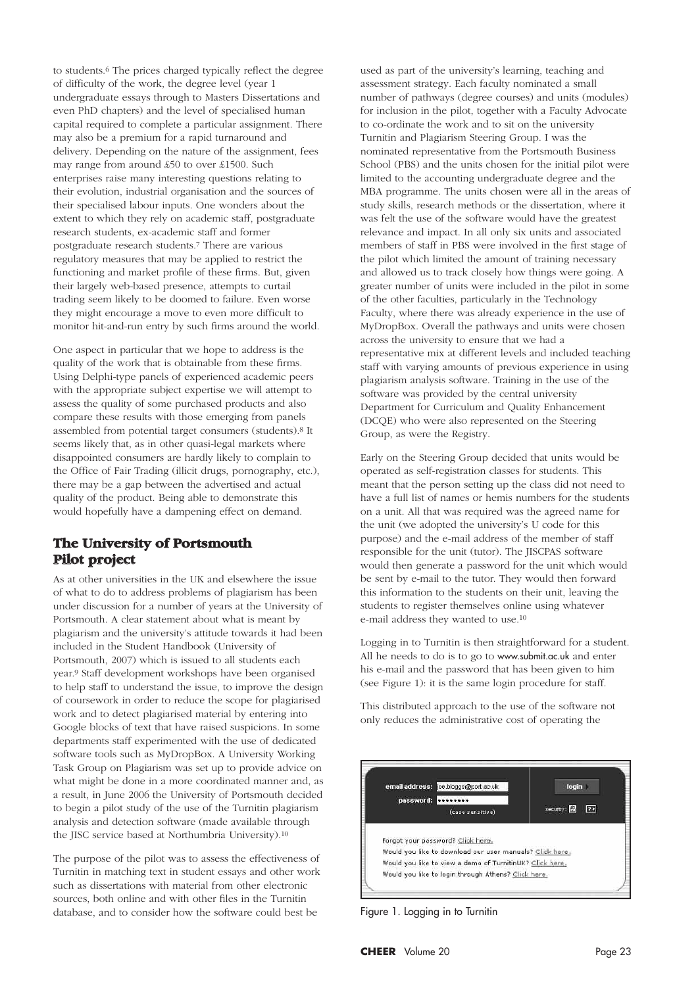to students.6 The prices charged typically reflect the degree of difficulty of the work, the degree level (year 1 undergraduate essays through to Masters Dissertations and even PhD chapters) and the level of specialised human capital required to complete a particular assignment. There may also be a premium for a rapid turnaround and delivery. Depending on the nature of the assignment, fees may range from around £50 to over £1500. Such enterprises raise many interesting questions relating to their evolution, industrial organisation and the sources of their specialised labour inputs. One wonders about the extent to which they rely on academic staff, postgraduate research students, ex-academic staff and former postgraduate research students.7 There are various regulatory measures that may be applied to restrict the functioning and market profile of these firms. But, given their largely web-based presence, attempts to curtail trading seem likely to be doomed to failure. Even worse they might encourage a move to even more difficult to monitor hit-and-run entry by such firms around the world.

One aspect in particular that we hope to address is the quality of the work that is obtainable from these firms. Using Delphi-type panels of experienced academic peers with the appropriate subject expertise we will attempt to assess the quality of some purchased products and also compare these results with those emerging from panels assembled from potential target consumers (students).8 It seems likely that, as in other quasi-legal markets where disappointed consumers are hardly likely to complain to the Office of Fair Trading (illicit drugs, pornography, etc.), there may be a gap between the advertised and actual quality of the product. Being able to demonstrate this would hopefully have a dampening effect on demand.

### **The University of Portsmouth Pilot project**

As at other universities in the UK and elsewhere the issue of what to do to address problems of plagiarism has been under discussion for a number of years at the University of Portsmouth. A clear statement about what is meant by plagiarism and the university's attitude towards it had been included in the Student Handbook (University of Portsmouth, 2007) which is issued to all students each year.9 Staff development workshops have been organised to help staff to understand the issue, to improve the design of coursework in order to reduce the scope for plagiarised work and to detect plagiarised material by entering into Google blocks of text that have raised suspicions. In some departments staff experimented with the use of dedicated software tools such as MyDropBox. A University Working Task Group on Plagiarism was set up to provide advice on what might be done in a more coordinated manner and, as a result, in June 2006 the University of Portsmouth decided to begin a pilot study of the use of the Turnitin plagiarism analysis and detection software (made available through the JISC service based at Northumbria University).10

The purpose of the pilot was to assess the effectiveness of Turnitin in matching text in student essays and other work such as dissertations with material from other electronic sources, both online and with other files in the Turnitin database, and to consider how the software could best be

used as part of the university's learning, teaching and assessment strategy. Each faculty nominated a small number of pathways (degree courses) and units (modules) for inclusion in the pilot, together with a Faculty Advocate to co-ordinate the work and to sit on the university Turnitin and Plagiarism Steering Group. I was the nominated representative from the Portsmouth Business School (PBS) and the units chosen for the initial pilot were limited to the accounting undergraduate degree and the MBA programme. The units chosen were all in the areas of study skills, research methods or the dissertation, where it was felt the use of the software would have the greatest relevance and impact. In all only six units and associated members of staff in PBS were involved in the first stage of the pilot which limited the amount of training necessary and allowed us to track closely how things were going. A greater number of units were included in the pilot in some of the other faculties, particularly in the Technology Faculty, where there was already experience in the use of MyDropBox. Overall the pathways and units were chosen across the university to ensure that we had a representative mix at different levels and included teaching staff with varying amounts of previous experience in using plagiarism analysis software. Training in the use of the software was provided by the central university Department for Curriculum and Quality Enhancement (DCQE) who were also represented on the Steering Group, as were the Registry.

Early on the Steering Group decided that units would be operated as self-registration classes for students. This meant that the person setting up the class did not need to have a full list of names or hemis numbers for the students on a unit. All that was required was the agreed name for the unit (we adopted the university's U code for this purpose) and the e-mail address of the member of staff responsible for the unit (tutor). The JISCPAS software would then generate a password for the unit which would be sent by e-mail to the tutor. They would then forward this information to the students on their unit, leaving the students to register themselves online using whatever e-mail address they wanted to use.10

Logging in to Turnitin is then straightforward for a student. All he needs to do is to go to www.submit.ac.uk and enter his e-mail and the password that has been given to him (see Figure 1): it is the same login procedure for staff.

This distributed approach to the use of the software not only reduces the administrative cost of operating the



Figure 1. Logging in to Turnitin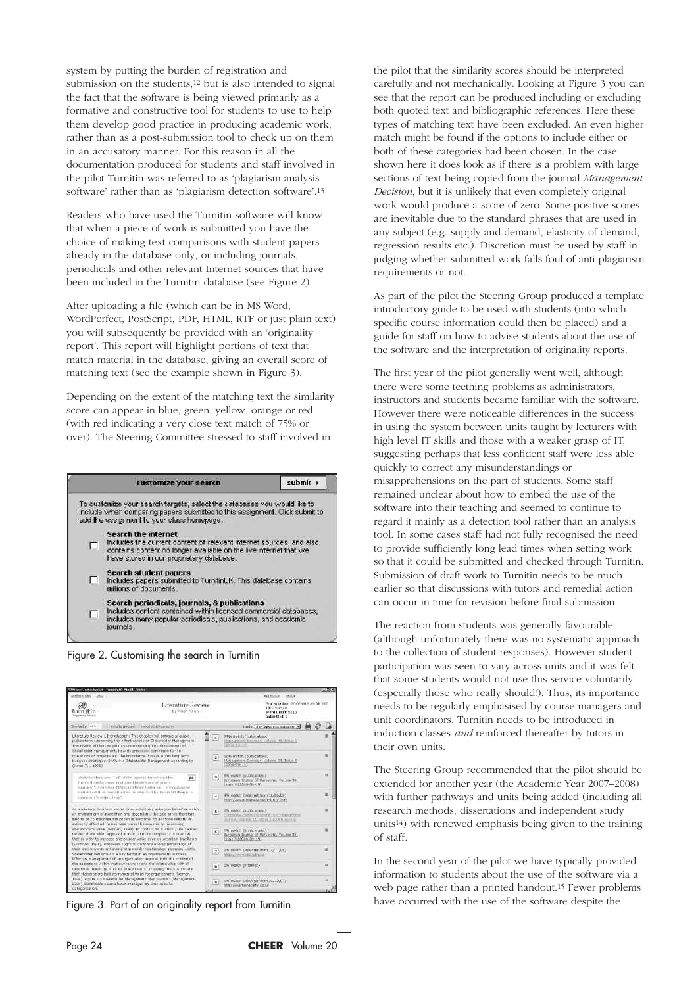system by putting the burden of registration and submission on the students,<sup>12</sup> but is also intended to signal the fact that the software is being viewed primarily as a formative and constructive tool for students to use to help them develop good practice in producing academic work, rather than as a post-submission tool to check up on them in an accusatory manner. For this reason in all the documentation produced for students and staff involved in the pilot Turnitin was referred to as 'plagiarism analysis software' rather than as 'plagiarism detection software'.13

Readers who have used the Turnitin software will know that when a piece of work is submitted you have the choice of making text comparisons with student papers already in the database only, or including journals, periodicals and other relevant Internet sources that have been included in the Turnitin database (see Figure 2).

After uploading a file (which can be in MS Word, WordPerfect, PostScript, PDF, HTML, RTF or just plain text) you will subsequently be provided with an 'originality report'. This report will highlight portions of text that match material in the database, giving an overall score of matching text (see the example shown in Figure 3).

Depending on the extent of the matching text the similarity score can appear in blue, green, yellow, orange or red (with red indicating a very close text match of 75% or over). The Steering Committee stressed to staff involved in



Figure 2. Customising the search in Turnitin

| Chitage/Automit.ac.uk - Turnitinux + Modife Feeter                                                                                                                                                                                                                                                                                                                                                                                         |                                                                                                                              |                                                                                                   |                                                                                                            | <b>AIDI X</b> |  |
|--------------------------------------------------------------------------------------------------------------------------------------------------------------------------------------------------------------------------------------------------------------------------------------------------------------------------------------------------------------------------------------------------------------------------------------------|------------------------------------------------------------------------------------------------------------------------------|---------------------------------------------------------------------------------------------------|------------------------------------------------------------------------------------------------------------|---------------|--|
| preferences bets                                                                                                                                                                                                                                                                                                                                                                                                                           |                                                                                                                              |                                                                                                   | extendings thence                                                                                          |               |  |
| Dy Arion Arion<br>turnitin<br>Drigogny Agrest                                                                                                                                                                                                                                                                                                                                                                                              | Literature Review                                                                                                            |                                                                                                   | Processed on: 20-05-06 E: #1 AM UST<br>ID: 2140548<br>Werd Count: 5110<br>Subsidiate 1                     |               |  |
| Similarity: 44%<br>industrial believable for<br>incurity published                                                                                                                                                                                                                                                                                                                                                                         |                                                                                                                              |                                                                                                   | midel due ignotential tipitar 30                                                                           |               |  |
| Literature flexiow 1 Intruduction: This chapter will critique available<br>publications concerning the effectiveness of Etaleholder Management.<br>The review will look to gain an understanding into the concept of                                                                                                                                                                                                                       | $\mathbf{I}$<br>(2006)-09-120<br>trainfictor maragement, how its processes concritute to the<br>$\mathbf{z}$<br>C2006-09-183 | (contendants (material)<br>THE R. P. LEWIS CO., LANSING<br>Histogramm Darrenn, Galume 43, Irrus I |                                                                                                            |               |  |
| specificns of projects and the importance it plays within ling term.<br>business strategies. 2 What is Etakeholder Management According to<br>(Jones T. (1995)                                                                                                                                                                                                                                                                             |                                                                                                                              |                                                                                                   | <b>STRUMATOR COUDIOSTIONS</b><br>Makagement Decision, Millows 38, 14444 E                                  | n             |  |
| studepholiters are "" off of the agents for edyant the<br>$10^{-1}$<br>Bree's development and quest health are of prime.<br>ашалиу»". Геоловые (1983) либоку Поно ее - тру денар эт<br>Individual that can affect or he affected by the realization of a<br>nominant's objectives."                                                                                                                                                        |                                                                                                                              | $\mathbf{a}$                                                                                      | cm match (publications)<br>European Journal of Marketing, Wikera 38,<br>THUR X (2005+09-19)                | $\mathbf{r}$  |  |
|                                                                                                                                                                                                                                                                                                                                                                                                                                            |                                                                                                                              | Ŀ.                                                                                                | 4% match Ghiarost from 16/06/06)<br>http://www.manasahantplatity.com                                       |               |  |
| as natistars, business people or as individuals acting on behalf or within<br>an environment of more than one dependant, the sale am a therefore<br>said to be to meanise the potential autopris for all those simulty or<br>indirectly affected. In business terms this equaties to maintening                                                                                                                                            |                                                                                                                              | 51                                                                                                | 1% match multications?<br>Crossine Computerations, let international<br>2006. TOMA 11, 1999. 1:2200 (FELT) |               |  |
| sharpholder's value (Seman, 1999). In context to buchess, the names:<br>minded shareholder approach it now far more complex. It is now said<br>that in order to increase photohulder value over an unperturn time hane.<br>(Freeman, 1984), managers cognit to dedicate a large percentage of<br>that tms towards artumong stataholder relationships (German, 1989).<br>Stakeholder behaviour is a lay factor in an organisations success. |                                                                                                                              | 6                                                                                                 | E% match (publications)<br>thropeen Journal of Marketing, Volume 19,<br>T100 8 (2006 09-19)                |               |  |
|                                                                                                                                                                                                                                                                                                                                                                                                                                            | $\mathcal{I}$<br>Effective management of an organization requires both the control of<br>$\mathbf{u}$                        |                                                                                                   | 2% million Gritarrial from 14/11/010<br>Intigio Alternatio Into: Sultivista                                | ×             |  |
| the operations within that erwironment and the relationship with all<br>directly or indirectly affected stateholders. In saying this it is evident,<br>that stakeholders hold eistrumental value for organizations (Seman,                                                                                                                                                                                                                 |                                                                                                                              | 2% makers cinternat).                                                                             |                                                                                                            |               |  |
| 1994), Piques 1 - Illuirahasi Management Map Sautos: (Management,<br>2000) Stalishidors can also be managed by their specific<br>categorization.                                                                                                                                                                                                                                                                                           |                                                                                                                              |                                                                                                   | 1% match distemat from 22/12/073<br>http://qustangbity.co.uk                                               |               |  |

Figure 3. Part of an originality report from Turnitin

the pilot that the similarity scores should be interpreted carefully and not mechanically. Looking at Figure 3 you can see that the report can be produced including or excluding both quoted text and bibliographic references. Here these types of matching text have been excluded. An even higher match might be found if the options to include either or both of these categories had been chosen. In the case shown here it does look as if there is a problem with large sections of text being copied from the journal *Management Decision*, but it is unlikely that even completely original work would produce a score of zero. Some positive scores are inevitable due to the standard phrases that are used in any subject (e.g. supply and demand, elasticity of demand, regression results etc.). Discretion must be used by staff in judging whether submitted work falls foul of anti-plagiarism requirements or not.

As part of the pilot the Steering Group produced a template introductory guide to be used with students (into which specific course information could then be placed) and a guide for staff on how to advise students about the use of the software and the interpretation of originality reports.

The first year of the pilot generally went well, although there were some teething problems as administrators, instructors and students became familiar with the software. However there were noticeable differences in the success in using the system between units taught by lecturers with high level IT skills and those with a weaker grasp of IT, suggesting perhaps that less confident staff were less able quickly to correct any misunderstandings or misapprehensions on the part of students. Some staff remained unclear about how to embed the use of the software into their teaching and seemed to continue to regard it mainly as a detection tool rather than an analysis tool. In some cases staff had not fully recognised the need to provide sufficiently long lead times when setting work so that it could be submitted and checked through Turnitin. Submission of draft work to Turnitin needs to be much earlier so that discussions with tutors and remedial action can occur in time for revision before final submission.

The reaction from students was generally favourable (although unfortunately there was no systematic approach to the collection of student responses). However student participation was seen to vary across units and it was felt that some students would not use this service voluntarily (especially those who really should!). Thus, its importance needs to be regularly emphasised by course managers and unit coordinators. Turnitin needs to be introduced in induction classes *and* reinforced thereafter by tutors in their own units.

The Steering Group recommended that the pilot should be extended for another year (the Academic Year 2007–2008) with further pathways and units being added (including all research methods, dissertations and independent study units14) with renewed emphasis being given to the training of staff.

In the second year of the pilot we have typically provided information to students about the use of the software via a web page rather than a printed handout.15 Fewer problems have occurred with the use of the software despite the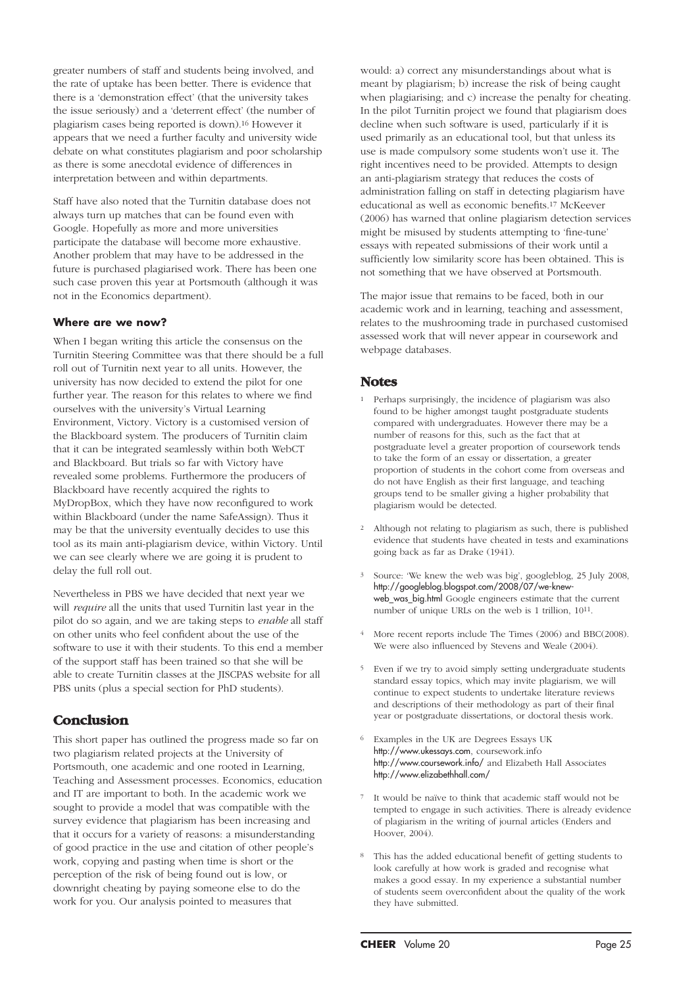greater numbers of staff and students being involved, and the rate of uptake has been better. There is evidence that there is a 'demonstration effect' (that the university takes the issue seriously) and a 'deterrent effect' (the number of plagiarism cases being reported is down).16 However it appears that we need a further faculty and university wide debate on what constitutes plagiarism and poor scholarship as there is some anecdotal evidence of differences in interpretation between and within departments.

Staff have also noted that the Turnitin database does not always turn up matches that can be found even with Google. Hopefully as more and more universities participate the database will become more exhaustive. Another problem that may have to be addressed in the future is purchased plagiarised work. There has been one such case proven this year at Portsmouth (although it was not in the Economics department).

#### **Where are we now?**

When I began writing this article the consensus on the Turnitin Steering Committee was that there should be a full roll out of Turnitin next year to all units. However, the university has now decided to extend the pilot for one further year. The reason for this relates to where we find ourselves with the university's Virtual Learning Environment, Victory. Victory is a customised version of the Blackboard system. The producers of Turnitin claim that it can be integrated seamlessly within both WebCT and Blackboard. But trials so far with Victory have revealed some problems. Furthermore the producers of Blackboard have recently acquired the rights to MyDropBox, which they have now reconfigured to work within Blackboard (under the name SafeAssign). Thus it may be that the university eventually decides to use this tool as its main anti-plagiarism device, within Victory. Until we can see clearly where we are going it is prudent to delay the full roll out.

Nevertheless in PBS we have decided that next year we will *require* all the units that used Turnitin last year in the pilot do so again, and we are taking steps to *enable* all staff on other units who feel confident about the use of the software to use it with their students. To this end a member of the support staff has been trained so that she will be able to create Turnitin classes at the JISCPAS website for all PBS units (plus a special section for PhD students).

# **Conclusion**

This short paper has outlined the progress made so far on two plagiarism related projects at the University of Portsmouth, one academic and one rooted in Learning, Teaching and Assessment processes. Economics, education and IT are important to both. In the academic work we sought to provide a model that was compatible with the survey evidence that plagiarism has been increasing and that it occurs for a variety of reasons: a misunderstanding of good practice in the use and citation of other people's work, copying and pasting when time is short or the perception of the risk of being found out is low, or downright cheating by paying someone else to do the work for you. Our analysis pointed to measures that

would: a) correct any misunderstandings about what is meant by plagiarism; b) increase the risk of being caught when plagiarising; and c) increase the penalty for cheating. In the pilot Turnitin project we found that plagiarism does decline when such software is used, particularly if it is used primarily as an educational tool, but that unless its use is made compulsory some students won't use it. The right incentives need to be provided. Attempts to design an anti-plagiarism strategy that reduces the costs of administration falling on staff in detecting plagiarism have educational as well as economic benefits.17 McKeever (2006) has warned that online plagiarism detection services might be misused by students attempting to 'fine-tune' essays with repeated submissions of their work until a sufficiently low similarity score has been obtained. This is not something that we have observed at Portsmouth.

The major issue that remains to be faced, both in our academic work and in learning, teaching and assessment, relates to the mushrooming trade in purchased customised assessed work that will never appear in coursework and webpage databases.

### **Notes**

- 1 Perhaps surprisingly, the incidence of plagiarism was also found to be higher amongst taught postgraduate students compared with undergraduates. However there may be a number of reasons for this, such as the fact that at postgraduate level a greater proportion of coursework tends to take the form of an essay or dissertation, a greater proportion of students in the cohort come from overseas and do not have English as their first language, and teaching groups tend to be smaller giving a higher probability that plagiarism would be detected.
- 2 Although not relating to plagiarism as such, there is published evidence that students have cheated in tests and examinations going back as far as Drake (1941).
- <sup>3</sup> Source: 'We knew the web was big', googleblog, 25 July 2008, http://googleblog.blogspot.com/2008/07/we-knewweb\_was\_big.html Google engineers estimate that the current number of unique URLs on the web is 1 trillion, 1011.
- 4 More recent reports include The Times (2006) and BBC(2008). We were also influenced by Stevens and Weale (2004).
- Even if we try to avoid simply setting undergraduate students standard essay topics, which may invite plagiarism, we will continue to expect students to undertake literature reviews and descriptions of their methodology as part of their final year or postgraduate dissertations, or doctoral thesis work.
- <sup>6</sup> Examples in the UK are Degrees Essays UK http://www.ukessays.com, coursework.info http://www.coursework.info/ and Elizabeth Hall Associates http://www.elizabethhall.com/
- <sup>7</sup> It would be naïve to think that academic staff would not be tempted to engage in such activities. There is already evidence of plagiarism in the writing of journal articles (Enders and Hoover, 2004).
- <sup>8</sup> This has the added educational benefit of getting students to look carefully at how work is graded and recognise what makes a good essay. In my experience a substantial number of students seem overconfident about the quality of the work they have submitted.